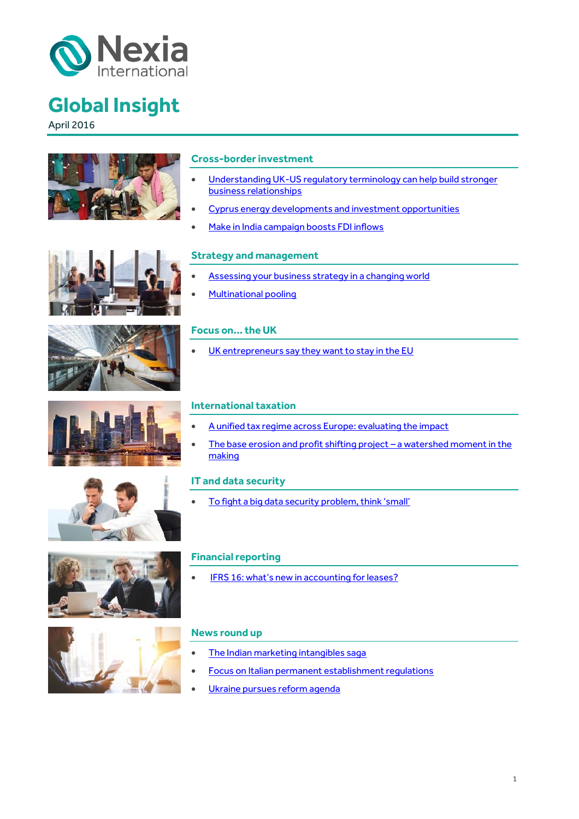

April 2016





- [Understanding UK-US regulatory terminology can help build stronger](#page-1-0)  [business relationships](#page-1-0)
- [Cyprus energy developments and investment opportunities](#page-2-0)
- [Make in India campaign boosts FDI inflows](#page-3-0)













#### **Strategy and management**

- [Assessing your business strategy in a changing world](#page-4-0)
- [Multinational pooling](#page-5-0)

#### **Focus on… the UK**

• [UK entrepreneurs say they want to stay in](#page-6-0) the EU

#### **International taxation**

- [A unified tax regime across Europe: evaluating the impact](#page-1-0)
- [The base erosion and profit shifting project](#page-9-0)  a watershed moment in the [making](#page-9-0)

#### **IT and data security**

To fight a big data security problem, think 'small'

#### **Financial reporting**

IFRS 16: what's new in accounting for leases?

#### **News round up**

- [The Indian marketing intangibles saga](#page-14-0)
- [Focus on Italian permanent establishment regulations](#page-15-0)
- [Ukraine pursues reform agenda](#page-16-0)

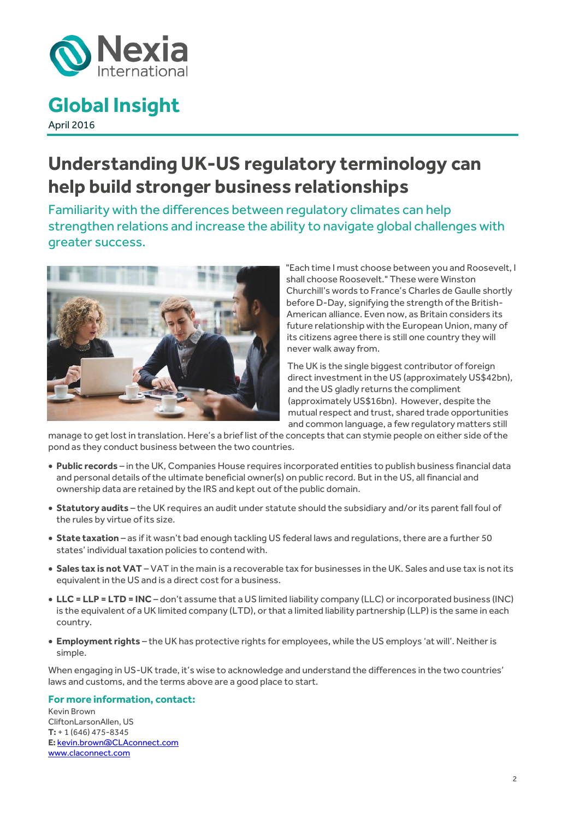

April 2016

## <span id="page-1-0"></span>**Understanding UK-US regulatory terminology can help build stronger business relationships**

Familiarity with the differences between regulatory climates can help strengthen relations and increase the ability to navigate global challenges with greater success.



"Each time I must choose between you and Roosevelt, I shall choose Roosevelt." These were Winston Churchill's words to France's Charles de Gaulle shortly before D-Day, signifying the strength of the British-American alliance. Even now, as Britain considers its future relationship with the European Union, many of its citizens agree there is still one country they will never walk away from.

The UK is the single biggest contributor of foreign direct investment in the US (approximately US\$42bn), and the US gladly returns the compliment (approximately US\$16bn). However, despite the mutual respect and trust, shared trade opportunities and common language, a few regulatory matters still

manage to get lost in translation. Here's a brief list of the concepts that can stymie people on either side of the pond as they conduct business between the two countries.

- **Public records**  in the UK, Companies House requires incorporated entities to publish business financial data and personal details of the ultimate beneficial owner(s) on public record. But in the US, all financial and ownership data are retained by the IRS and kept out of the public domain.
- **Statutory audits** the UK requires an audit under statute should the subsidiary and/or its parent fall foul of the rules by virtue of its size.
- State taxation as if it wasn't bad enough tackling US federal laws and regulations, there are a further 50 states' individual taxation policies to contend with.
- **Sales tax is not VAT**  VAT in the main is a recoverable tax for businesses in the UK. Sales and use tax is not its equivalent in the US and is a direct cost for a business.
- LLC = LLP = LTD = INC don't assume that a US limited liability company (LLC) or incorporated business (INC) is the equivalent of a UK limited company (LTD), or that a limited liability partnership (LLP) is the same in each country.
- Employment rights the UK has protective rights for employees, while the US employs 'at will'. Neither is simple.

When engaging in US-UK trade, it's wise to acknowledge and understand the differences in the two countries' laws and customs, and the terms above are a good place to start.

#### **For more information, contact:**

Kevin Brown CliftonLarsonAllen, US **T:** + 1 (646) 475-8345 **E:** [kevin.brown@CLAconnect.com](mailto:kevin.brown@CLAconnect.com) [www.claconnect.com](http://www.claconnect.com/)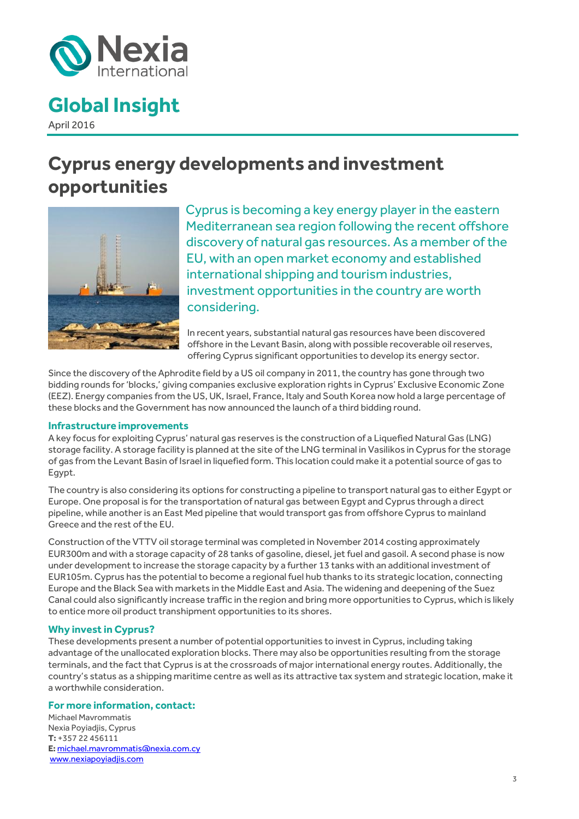

### **Global Insight** April 2016

## <span id="page-2-0"></span>**Cyprus energy developments and investment opportunities**



Cyprus is becoming a key energy player in the eastern Mediterranean sea region following the recent offshore discovery of natural gas resources. As a member of the EU, with an open market economy and established international shipping and tourism industries, investment opportunities in the country are worth considering.

In recent years, substantial natural gas resources have been discovered offshore in the Levant Basin, along with possible recoverable oil reserves, offering Cyprus significant opportunities to develop its energy sector.

Since the discovery of the Aphrodite field by a US oil company in 2011, the country has gone through two bidding rounds for 'blocks,' giving companies exclusive exploration rights in Cyprus' Exclusive Economic Zone (EEZ). Energy companies from the US, UK, Israel, France, Italy and South Korea now hold a large percentage of these blocks and the Government has now announced the launch of a third bidding round.

#### **Infrastructure improvements**

A key focus for exploiting Cyprus' natural gas reserves is the construction of a Liquefied Natural Gas (LNG) storage facility. A storage facility is planned at the site of the LNG terminal in Vasilikos in Cyprus for the storage of gas from the Levant Basin of Israel in liquefied form. This location could make it a potential source of gas to Egypt.

The country is also considering its options for constructing a pipeline to transport natural gas to either Egypt or Europe. One proposal is for the transportation of natural gas between Egypt and Cyprus through a direct pipeline, while another is an East Med pipeline that would transport gas from offshore Cyprus to mainland Greece and the rest of the EU.

Construction of the VTTV oil storage terminal was completed in November 2014 costing approximately EUR300m and with a storage capacity of 28 tanks of gasoline, diesel, jet fuel and gasoil. A second phase is now under development to increase the storage capacity by a further 13 tanks with an additional investment of EUR105m. Cyprus has the potential to become a regional fuel hub thanks to its strategic location, connecting Europe and the Black Sea with markets in the Middle East and Asia. The widening and deepening of the Suez Canal could also significantly increase traffic in the region and bring more opportunities to Cyprus, which is likely to entice more oil product transhipment opportunities to its shores.

#### **Why invest in Cyprus?**

These developments present a number of potential opportunities to invest in Cyprus, including taking advantage of the unallocated exploration blocks. There may also be opportunities resulting from the storage terminals, and the fact that Cyprus is at the crossroads of major international energy routes. Additionally, the country's status as a shipping maritime centre as well as its attractive tax system and strategic location, make it a worthwhile consideration.

#### **For more information, contact:**

Michael Mavrommatis Nexia Poyiadjis, Cyprus **T:** +357 22 456111 **E:** [michael.mavrommatis@nexia.com.cy](mailto:michael.mavrommatis@nexia.com.cy) [www.nexiapoyiadjis.com](http://www.nexiapoyiadjis.com/)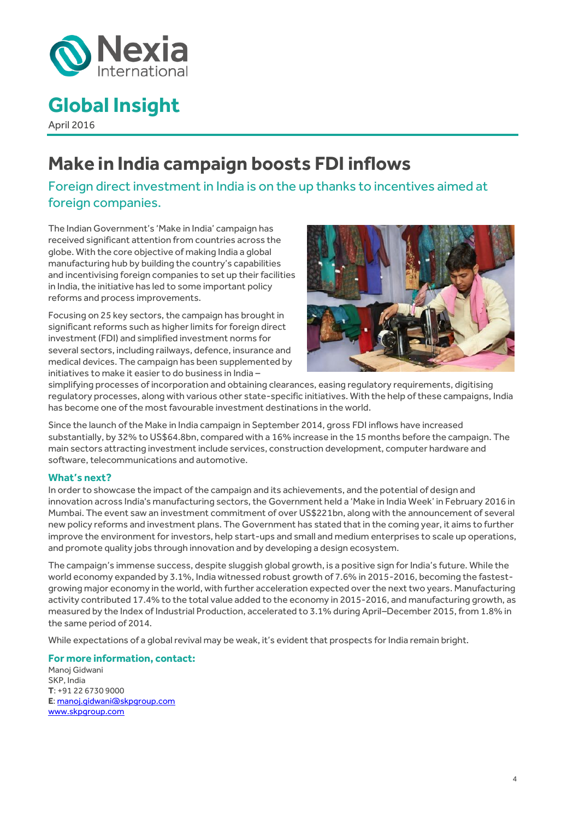

April 2016

### <span id="page-3-0"></span>**Make in India campaign boosts FDI inflows**

Foreign direct investment in India is on the up thanks to incentives aimed at foreign companies.

The Indian Government's 'Make in India' campaign has received significant attention from countries across the globe. With the core objective of making India a global manufacturing hub by building the country's capabilities and incentivising foreign companies to set up their facilities in India, the initiative has led to some important policy reforms and process improvements.

Focusing on 25 key sectors, the campaign has brought in significant reforms such as higher limits for foreign direct investment (FDI) and simplified investment norms for several sectors, including railways, defence, insurance and medical devices. The campaign has been supplemented by initiatives to make it easier to do business in India –



simplifying processes of incorporation and obtaining clearances, easing regulatory requirements, digitising regulatory processes, along with various other state-specific initiatives. With the help of these campaigns, India has become one of the most favourable investment destinations in the world.

Since the launch of the Make in India campaign in September 2014, gross FDI inflows have increased substantially, by 32% to US\$64.8bn, compared with a 16% increase in the 15 months before the campaign. The main sectors attracting investment include services, construction development, computer hardware and software, telecommunications and automotive.

#### **What's next?**

In order to showcase the impact of the campaign and its achievements, and the potential of design and innovation across India's manufacturing sectors, the Government held a 'Make in India Week' in February 2016 in Mumbai. The event saw an investment commitment of over US\$221bn, along with the announcement of several new policy reforms and investment plans. The Government has stated that in the coming year, it aims to further improve the environment for investors, help start-ups and small and medium enterprises to scale up operations, and promote quality jobs through innovation and by developing a design ecosystem.

The campaign's immense success, despite sluggish global growth, is a positive sign for India's future. While the world economy expanded by 3.1%, India witnessed robust growth of 7.6% in 2015-2016, becoming the fastestgrowing major economy in the world, with further acceleration expected over the next two years. Manufacturing activity contributed 17.4% to the total value added to the economy in 2015-2016, and manufacturing growth, as measured by the Index of Industrial Production, accelerated to 3.1% during April–December 2015, from 1.8% in the same period of 2014.

While expectations of a global revival may be weak, it's evident that prospects for India remain bright.

**For more information, contact:**

Manoj Gidwani SKP, India **T**: +91 22 6730 9000 **E**[: manoj.gidwani@skpgroup.com](mailto:manoj.gidwani@skpgroup.com) [www.skpgroup.com](http://www.skpgroup.com/)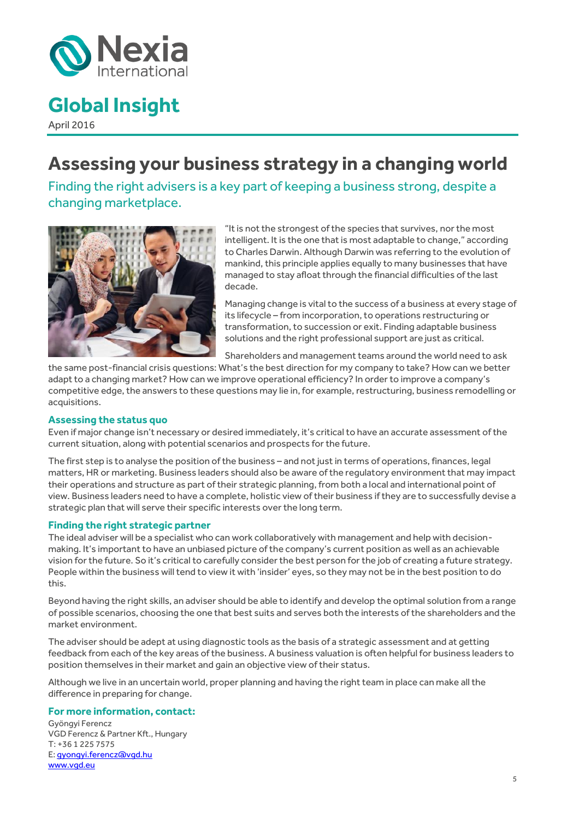

April 2016

### <span id="page-4-0"></span>**Assessing your business strategy in a changing world**

Finding the right advisers is a key part of keeping a business strong, despite a changing marketplace.



"It is not the strongest of the species that survives, nor the most intelligent. It is the one that is most adaptable to change," according to Charles Darwin. Although Darwin was referring to the evolution of mankind, this principle applies equally to many businesses that have managed to stay afloat through the financial difficulties of the last decade.

Managing change is vital to the success of a business at every stage of its lifecycle – from incorporation, to operations restructuring or transformation, to succession or exit. Finding adaptable business solutions and the right professional support are just as critical.

Shareholders and management teams around the world need to ask

the same post-financial crisis questions: What's the best direction for my company to take? How can we better adapt to a changing market? How can we improve operational efficiency? In order to improve a company's competitive edge, the answers to these questions may lie in, for example, restructuring, business remodelling or acquisitions.

#### **Assessing the status quo**

Even if major change isn't necessary or desired immediately, it's critical to have an accurate assessment of the current situation, along with potential scenarios and prospects for the future.

The first step is to analyse the position of the business – and not just in terms of operations, finances, legal matters, HR or marketing. Business leaders should also be aware of the regulatory environment that may impact their operations and structure as part of their strategic planning, from both a local and international point of view. Business leaders need to have a complete, holistic view of their business if they are to successfully devise a strategic plan that will serve their specific interests over the long term.

#### **Finding the right strategic partner**

The ideal adviser will be a specialist who can work collaboratively with management and help with decisionmaking. It's important to have an unbiased picture of the company's current position as well as an achievable vision for the future. So it's critical to carefully consider the best person for the job of creating a future strategy. People within the business will tend to view it with 'insider' eyes, so they may not be in the best position to do this.

Beyond having the right skills, an adviser should be able to identify and develop the optimal solution from a range of possible scenarios, choosing the one that best suits and serves both the interests of the shareholders and the market environment.

The adviser should be adept at using diagnostic tools as the basis of a strategic assessment and at getting feedback from each of the key areas of the business. A business valuation is often helpful for business leaders to position themselves in their market and gain an objective view of their status.

Although we live in an uncertain world, proper planning and having the right team in place can make all the difference in preparing for change.

#### **For more information, contact:**

Gyöngyi Ferencz VGD Ferencz & Partner Kft., Hungary T: +36 1 225 7575 E[: gyongyi.ferencz@vgd.hu](mailto:gyongyi.ferencz@vgd.hu) [www.vgd.eu](http://www.vgd.eu/)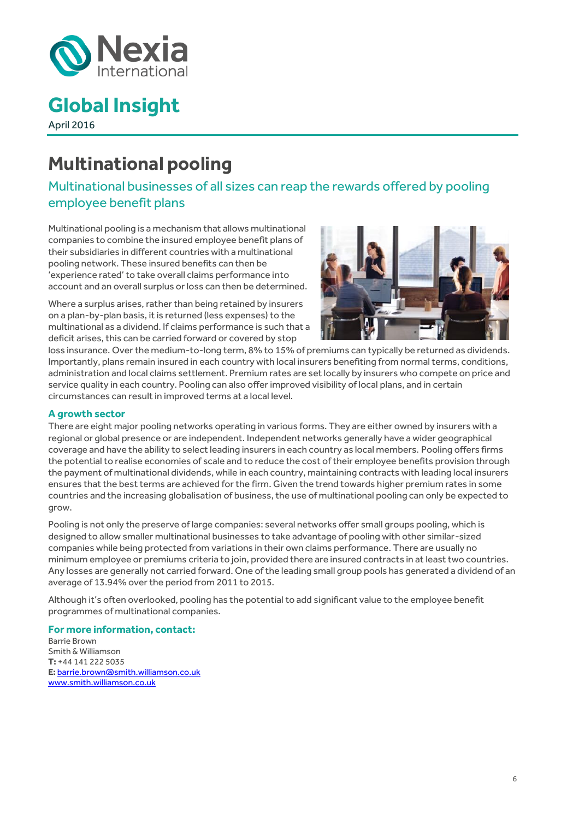

April 2016

## <span id="page-5-0"></span>**Multinational pooling**

Multinational businesses of all sizes can reap the rewards offered by pooling employee benefit plans

Multinational pooling is a mechanism that allows multinational companies to combine the insured employee benefit plans of their subsidiaries in different countries with a multinational pooling network. These insured benefits can then be 'experience rated' to take overall claims performance into account and an overall surplus or loss can then be determined.

Where a surplus arises, rather than being retained by insurers on a plan-by-plan basis, it is returned (less expenses) to the multinational as a dividend. If claims performance is such that a deficit arises, this can be carried forward or covered by stop



loss insurance. Over the medium-to-long term, 8% to 15% of premiums can typically be returned as dividends. Importantly, plans remain insured in each country with local insurers benefiting from normal terms, conditions, administration and local claims settlement. Premium rates are set locally by insurers who compete on price and service quality in each country. Pooling can also offer improved visibility of local plans, and in certain circumstances can result in improved terms at a local level.

#### **A growth sector**

There are eight major pooling networks operating in various forms. They are either owned by insurers with a regional or global presence or are independent. Independent networks generally have a wider geographical coverage and have the ability to select leading insurers in each country as local members. Pooling offers firms the potential to realise economies of scale and to reduce the cost of their employee benefits provision through the payment of multinational dividends, while in each country, maintaining contracts with leading local insurers ensures that the best terms are achieved for the firm. Given the trend towards higher premium rates in some countries and the increasing globalisation of business, the use of multinational pooling can only be expected to grow.

Pooling is not only the preserve of large companies: several networks offer small groups pooling, which is designed to allow smaller multinational businesses to take advantage of pooling with other similar-sized companies while being protected from variations in their own claims performance. There are usually no minimum employee or premiums criteria to join, provided there are insured contracts in at least two countries. Any losses are generally not carried forward. One of the leading small group pools has generated a dividend of an average of 13.94% over the period from 2011 to 2015.

Although it's often overlooked, pooling has the potential to add significant value to the employee benefit programmes of multinational companies.

**For more information, contact:** Barrie Brown Smith & Williamson **T:** +44 141 222 5035 **E:** [barrie.brown@smith.williamson.co.uk](mailto:craig.arends@claconnect.com) [www.smith.williamson.co.uk](http://www.smith.williamson.co.uk/)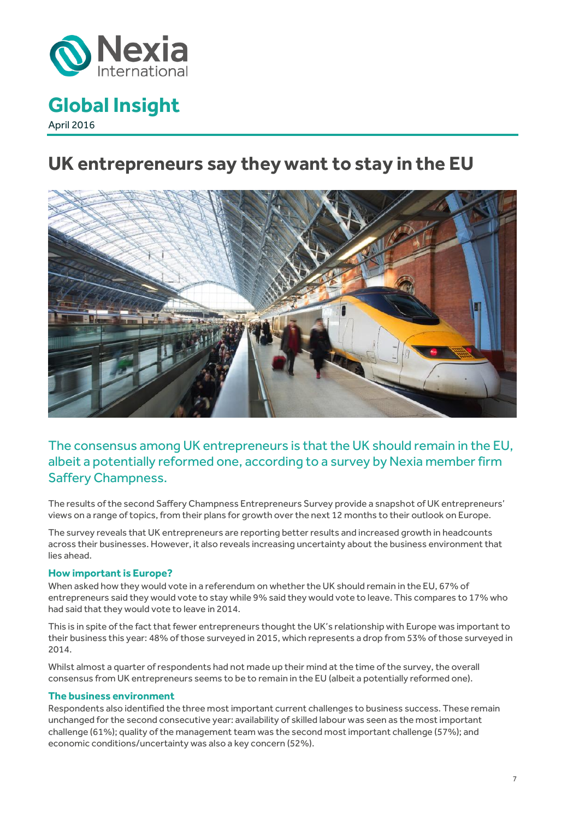<span id="page-6-0"></span>

April 2016

### **UK entrepreneurs say they want to stay in the EU**



The consensus among UK entrepreneurs is that the UK should remain in the EU, albeit a potentially reformed one, according to a survey by Nexia member firm Saffery Champness.

The results of the second Saffery Champness Entrepreneurs Survey provide a snapshot of UK entrepreneurs' views on a range of topics, from their plans for growth over the next 12 months to their outlook on Europe.

The survey reveals that UK entrepreneurs are reporting better results and increased growth in headcounts across their businesses. However, it also reveals increasing uncertainty about the business environment that lies ahead.

#### **How important is Europe?**

When asked how they would vote in a referendum on whether the UK should remain in the EU, 67% of entrepreneurs said they would vote to stay while 9% said they would vote to leave. This compares to 17% who had said that they would vote to leave in 2014.

This is in spite of the fact that fewer entrepreneurs thought the UK's relationship with Europe was important to their business this year: 48% of those surveyed in 2015, which represents a drop from 53% of those surveyed in 2014.

Whilst almost a quarter of respondents had not made up their mind at the time of the survey, the overall consensus from UK entrepreneurs seems to be to remain in the EU (albeit a potentially reformed one).

#### **The business environment**

Respondents also identified the three most important current challenges to business success. These remain unchanged for the second consecutive year: availability of skilled labour was seen as the most important challenge (61%); quality of the management team was the second most important challenge (57%); and economic conditions/uncertainty was also a key concern (52%).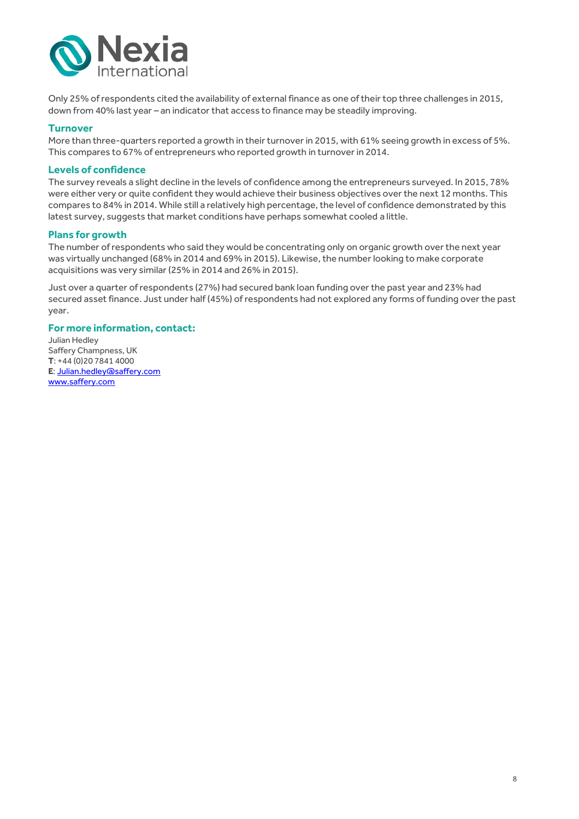

Only 25% of respondents cited the availability of external finance as one of their top three challenges in 2015, down from 40% last year – an indicator that access to finance may be steadily improving.

#### **Turnover**

More than three-quarters reported a growth in their turnover in 2015, with 61% seeing growth in excess of 5%. This compares to 67% of entrepreneurs who reported growth in turnover in 2014.

#### **Levels of confidence**

The survey reveals a slight decline in the levels of confidence among the entrepreneurs surveyed. In 2015, 78% were either very or quite confident they would achieve their business objectives over the next 12 months. This compares to 84% in 2014. While still a relatively high percentage, the level of confidence demonstrated by this latest survey, suggests that market conditions have perhaps somewhat cooled a little.

#### **Plans for growth**

The number of respondents who said they would be concentrating only on organic growth over the next year was virtually unchanged (68% in 2014 and 69% in 2015). Likewise, the number looking to make corporate acquisitions was very similar (25% in 2014 and 26% in 2015).

Just over a quarter of respondents (27%) had secured bank loan funding over the past year and 23% had secured asset finance. Just under half (45%) of respondents had not explored any forms of funding over the past year.

#### **For more information, contact:**

Julian Hedley Saffery Champness, UK **T**: +44 (0)20 7841 4000 **E**[: Julian.hedley@saffery.com](mailto:Julian.hedley@saffery.com) [www.saffery.com](http://www.saffery.com/)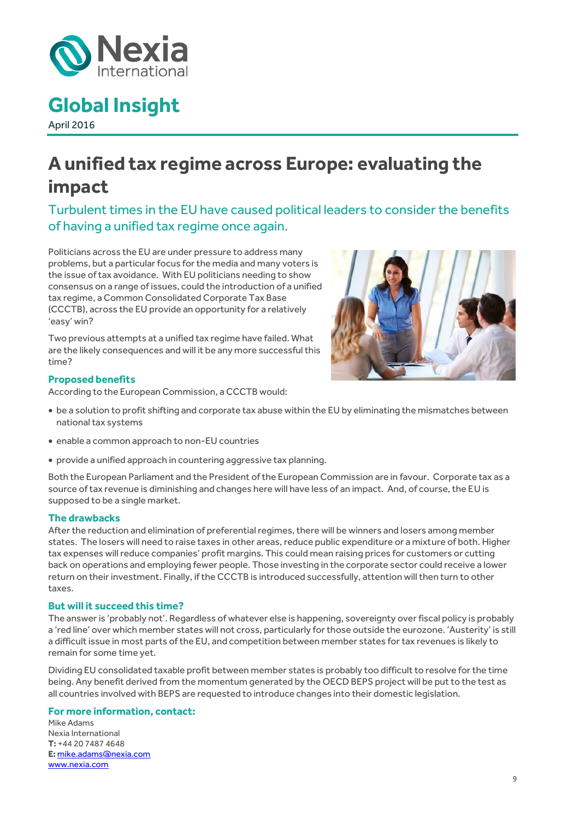

April 2016

## **A unified tax regime across Europe: evaluating the impact**

Turbulent times in the EU have caused political leaders to consider the benefits of having a unified tax regime once again.

Politicians across the EU are under pressure to address many problems, but a particular focus for the media and many voters is the issue of tax avoidance. With EU politicians needing to show consensus on a range of issues, could the introduction of a unified tax regime, a Common Consolidated Corporate Tax Base (CCCTB), across the EU provide an opportunity for a relatively 'easy' win?

Two previous attempts at a unified tax regime have failed. What are the likely consequences and will it be any more successful this time?



#### **Proposed benefits**

According to the European Commission, a CCCTB would:

- be a solution to profit shifting and corporate tax abuse within the EU by eliminating the mismatches between national tax systems
- enable a common approach to non-EU countries
- provide a unified approach in countering aggressive tax planning.

Both the European Parliament and the President of the European Commission are in favour. Corporate tax as a source of tax revenue is diminishing and changes here will have less of an impact. And, of course, the EU is supposed to be a single market.

#### **The drawbacks**

After the reduction and elimination of preferential regimes, there will be winners and losers among member states. The losers will need to raise taxes in other areas, reduce public expenditure or a mixture of both. Higher tax expenses will reduce companies' profit margins. This could mean raising prices for customers or cutting back on operations and employing fewer people. Those investing in the corporate sector could receive a lower return on their investment. Finally, if the CCCTB is introduced successfully, attention will then turn to other taxes.

#### **But will it succeed this time?**

The answer is 'probably not'. Regardless of whatever else is happening, sovereignty over fiscal policy is probably a 'red line' over which member states will not cross, particularly for those outside the eurozone. 'Austerity' is still a difficult issue in most parts of the EU, and competition between member states for tax revenues is likely to remain for some time yet.

Dividing EU consolidated taxable profit between member states is probably too difficult to resolve for the time being. Any benefit derived from the momentum generated by the OECD BEPS project will be put to the test as all countries involved with BEPS are requested to introduce changes into their domestic legislation.

#### **For more information, contact:**

Mike Adams Nexia International **T:** +44 20 7487 4648 **E:** [mike.adams@nexia.com](mailto:mike.adams@nexia.com) [www.nexia.com](http://www.nexia.com/)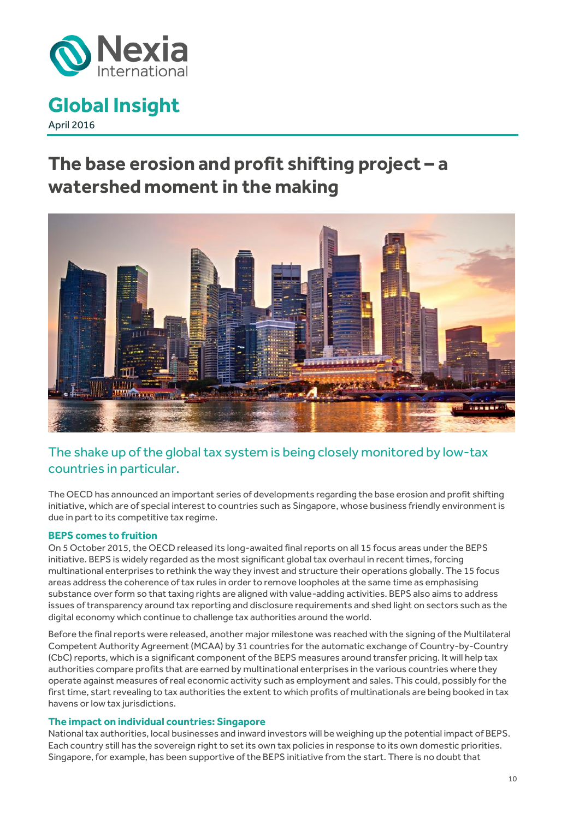<span id="page-9-0"></span>

### **Global Insight** April 2016

## **The base erosion and profit shifting project – a watershed moment in the making**



### The shake up of the global tax system is being closely monitored by low-tax countries in particular.

The OECD has announced an important series of developments regarding the base erosion and profit shifting initiative, which are of special interest to countries such as Singapore, whose business friendly environment is due in part to its competitive tax regime.

#### **BEPS comes to fruition**

On 5 October 2015, the OECD released its long-awaited final reports on all 15 focus areas under the BEPS initiative. BEPS is widely regarded as the most significant global tax overhaul in recent times, forcing multinational enterprises to rethink the way they invest and structure their operations globally. The 15 focus areas address the coherence of tax rules in order to remove loopholes at the same time as emphasising substance over form so that taxing rights are aligned with value-adding activities. BEPS also aims to address issues of transparency around tax reporting and disclosure requirements and shed light on sectors such as the digital economy which continue to challenge tax authorities around the world.

Before the final reports were released, another major milestone was reached with the signing of the Multilateral Competent Authority Agreement (MCAA) by 31 countries for the automatic exchange of Country-by-Country (CbC) reports, which is a significant component of the BEPS measures around transfer pricing. It will help tax authorities compare profits that are earned by multinational enterprises in the various countries where they operate against measures of real economic activity such as employment and sales. This could, possibly for the first time, start revealing to tax authorities the extent to which profits of multinationals are being booked in tax havens or low tax jurisdictions.

#### **The impact on individual countries: Singapore**

National tax authorities, local businesses and inward investors will be weighing up the potential impact of BEPS. Each country still has the sovereign right to set its own tax policies in response to its own domestic priorities. Singapore, for example, has been supportive of the BEPS initiative from the start. There is no doubt that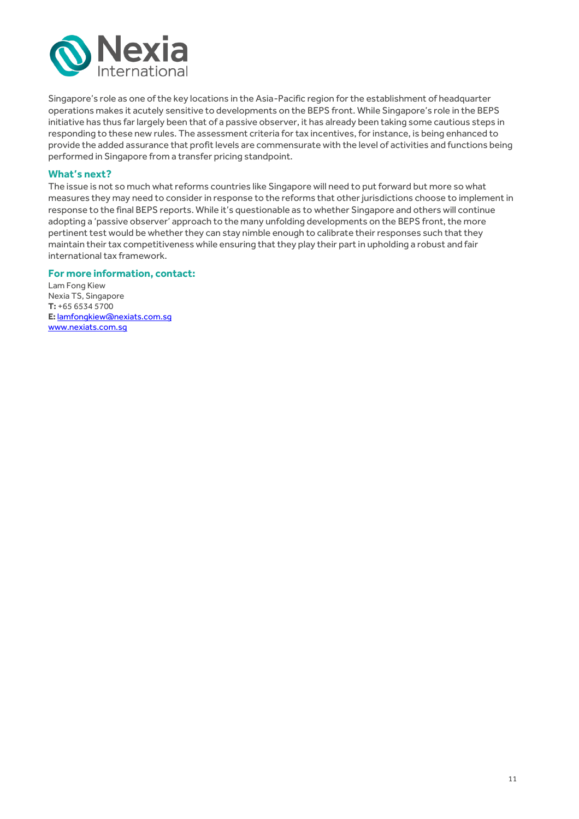

Singapore's role as one of the key locations in the Asia-Pacific region for the establishment of headquarter operations makes it acutely sensitive to developments on the BEPS front. While Singapore's role in the BEPS initiative has thus far largely been that of a passive observer, it has already been taking some cautious steps in responding to these new rules. The assessment criteria for tax incentives, for instance, is being enhanced to provide the added assurance that profit levels are commensurate with the level of activities and functions being performed in Singapore from a transfer pricing standpoint.

#### **What's next?**

The issue is not so much what reforms countries like Singapore will need to put forward but more so what measures they may need to consider in response to the reforms that other jurisdictions choose to implement in response to the final BEPS reports. While it's questionable as to whether Singapore and others will continue adopting a 'passive observer' approach to the many unfolding developments on the BEPS front, the more pertinent test would be whether they can stay nimble enough to calibrate their responses such that they maintain their tax competitiveness while ensuring that they play their part in upholding a robust and fair international tax framework.

#### **For more information, contact:**

Lam Fong Kiew Nexia TS, Singapore **T:** +65 6534 5700 **E:** [lamfongkiew@nexiats.com.sg](mailto:lamfongkiew@nexiats.com.sg) [www.nexiats.com.sg](http://www.nexiats.com.sg/)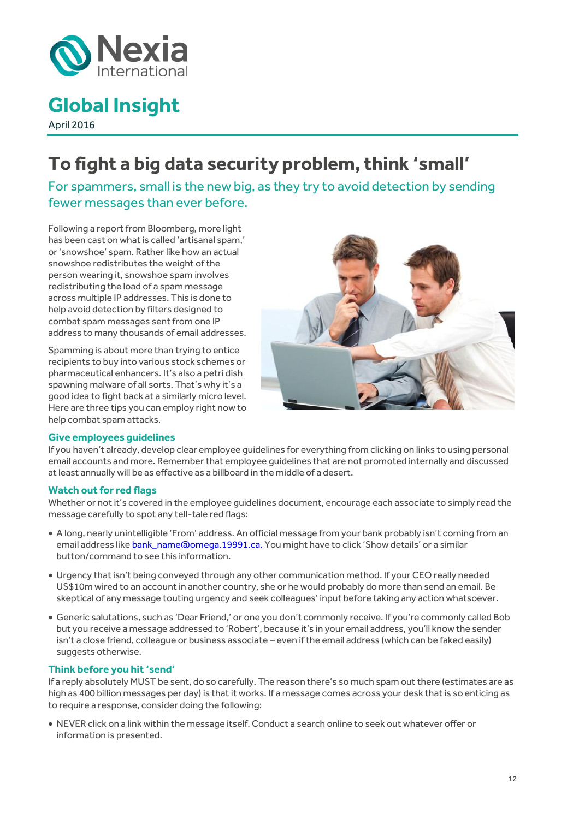

April 2016

### <span id="page-11-0"></span>**To fight a big data security problem, think 'small'**

For spammers, small is the new big, as they try to avoid detection by sending fewer messages than ever before.

Following a report from Bloomberg, more light has been cast on what is called 'artisanal spam,' or 'snowshoe' spam. Rather like how an actual snowshoe redistributes the weight of the person wearing it, snowshoe spam involves redistributing the load of a spam message across multiple IP addresses. This is done to help avoid detection by filters designed to combat spam messages sent from one IP address to many thousands of email addresses.

Spamming is about more than trying to entice recipients to buy into various stock schemes or pharmaceutical enhancers. It's also a petri dish spawning malware of all sorts. That's why it's a good idea to fight back at a similarly micro level. Here are three tips you can employ right now to help combat spam attacks.



#### **Give employees guidelines**

If you haven't already, develop clear employee guidelines for everything from clicking on links to using personal email accounts and more. Remember that employee guidelines that are not promoted internally and discussed at least annually will be as effective as a billboard in the middle of a desert.

#### **Watch out for red flags**

Whether or not it's covered in the employee guidelines document, encourage each associate to simply read the message carefully to spot any tell-tale red flags:

- A long, nearly unintelligible 'From' address. An official message from your bank probably isn't coming from an email address lik[e bank\\_name@omega.19991.ca.](mailto:bank_name@omega.19991.ca.) You might have to click 'Show details' or a similar button/command to see this information.
- Urgency that isn't being conveyed through any other communication method. If your CEO really needed US\$10m wired to an account in another country, she or he would probably do more than send an email. Be skeptical of any message touting urgency and seek colleagues' input before taking any action whatsoever.
- Generic salutations, such as 'Dear Friend,' or one you don't commonly receive. If you're commonly called Bob but you receive a message addressed to 'Robert', because it's in your email address, you'll know the sender isn't a close friend, colleague or business associate – even if the email address (which can be faked easily) suggests otherwise.

#### **Think before you hit 'send'**

If a reply absolutely MUST be sent, do so carefully. The reason there's so much spam out there (estimates are as high as 400 billion messages per day) is that it works. If a message comes across your desk that is so enticing as to require a response, consider doing the following:

 NEVER click on a link within the message itself. Conduct a search online to seek out whatever offer or information is presented.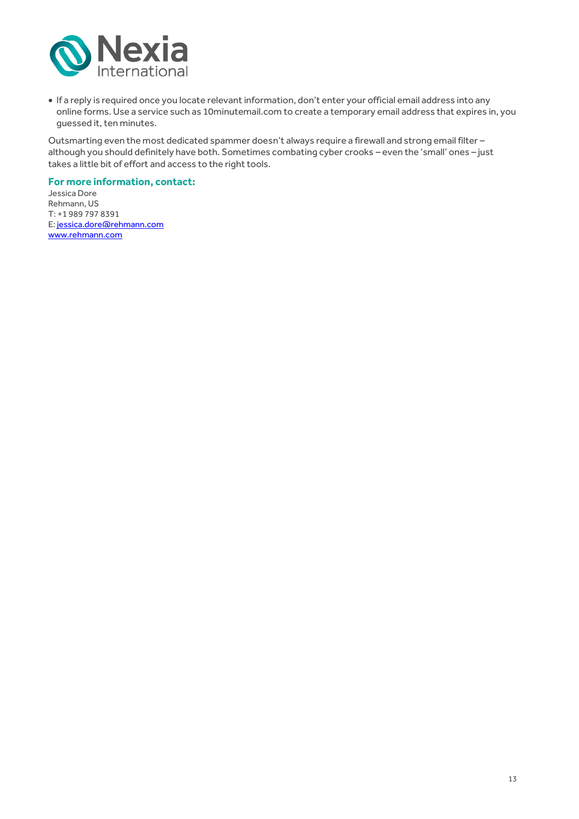

If a reply is required once you locate relevant information, don't enter your official email address into any online forms. Use a service such as 10minutemail.com to create a temporary email address that expires in, you guessed it, ten minutes.

Outsmarting even the most dedicated spammer doesn't always require a firewall and strong email filter – although you should definitely have both. Sometimes combating cyber crooks – even the 'small' ones – just takes a little bit of effort and access to the right tools.

#### **For more information, contact:**

Jessica Dore Rehmann, US T: +1 989 797 8391 E[: jessica.dore@rehmann.com](mailto:jessica.dore@rehmann.com) [www.rehmann.com](http://www.rehmann.com/)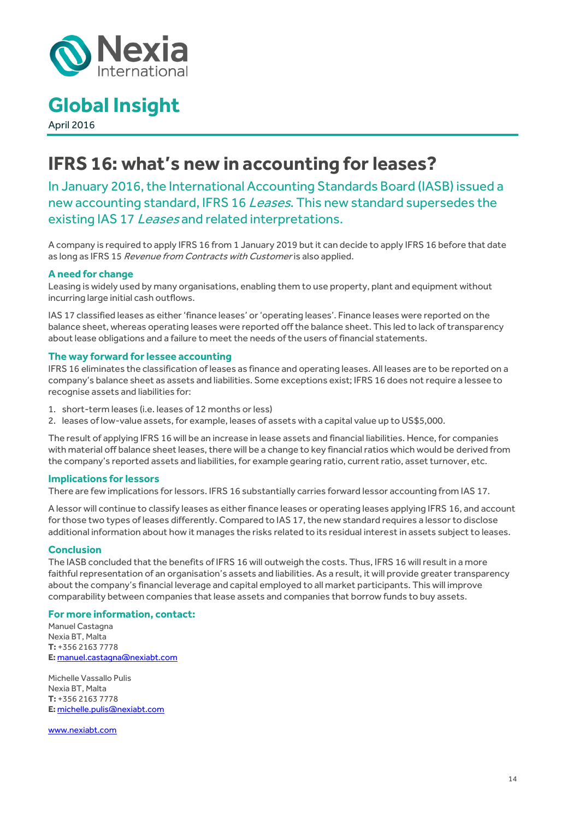

April 2016

### <span id="page-13-0"></span>**IFRS 16: what's new in accounting for leases?**

In January 2016, the International Accounting Standards Board (IASB) issued a new accounting standard, IFRS 16 Leases. This new standard supersedes the existing IAS 17 Leases and related interpretations.

A company is required to apply IFRS 16 from 1 January 2019 but it can decide to apply IFRS 16 before that date as long as IFRS 15 Revenue from Contracts with Customer is also applied.

#### **A need for change**

Leasing is widely used by many organisations, enabling them to use property, plant and equipment without incurring large initial cash outflows.

IAS 17 classified leases as either 'finance leases' or 'operating leases'. Finance leases were reported on the balance sheet, whereas operating leases were reported off the balance sheet. This led to lack of transparency about lease obligations and a failure to meet the needs of the users of financial statements.

#### **The way forward for lessee accounting**

IFRS 16 eliminates the classification of leases as finance and operating leases. All leases are to be reported on a company's balance sheet as assets and liabilities. Some exceptions exist; IFRS 16 does not require a lessee to recognise assets and liabilities for:

- 1. short-term leases (i.e. leases of 12 months or less)
- 2. leases of low-value assets, for example, leases of assets with a capital value up to US\$5,000.

The result of applying IFRS 16 will be an increase in lease assets and financial liabilities. Hence, for companies with material off balance sheet leases, there will be a change to key financial ratios which would be derived from the company's reported assets and liabilities, for example gearing ratio, current ratio, asset turnover, etc.

#### **Implications for lessors**

There are few implications for lessors. IFRS 16 substantially carries forward lessor accounting from IAS 17.

A lessor will continue to classify leases as either finance leases or operating leases applying IFRS 16, and account for those two types of leases differently. Compared to IAS 17, the new standard requires a lessor to disclose additional information about how it manages the risks related to its residual interest in assets subject to leases.

#### **Conclusion**

The IASB concluded that the benefits of IFRS 16 will outweigh the costs. Thus, IFRS 16 will result in a more faithful representation of an organisation's assets and liabilities. As a result, it will provide greater transparency about the company's financial leverage and capital employed to all market participants. This will improve comparability between companies that lease assets and companies that borrow funds to buy assets.

#### **For more information, contact:**

Manuel Castagna Nexia BT, Malta **T:** +356 2163 7778 **E:** [manuel.castagna@nexiabt.com](mailto:jeff.edwards@whitleypenn.com)

Michelle Vassallo Pulis Nexia BT, Malta **T:** +356 2163 7778 **E:** [michelle.pulis@nexiabt.com](mailto:michelle.pulis@nexiabt.com)

[www.nexiabt.com](http://www.nexiabt.com/)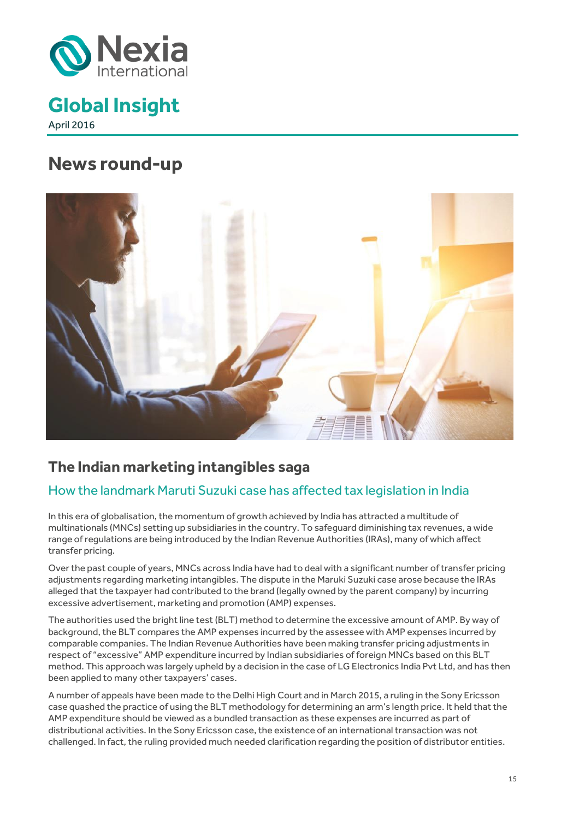

### **Global Insight** April 2016

<span id="page-14-0"></span>**News round-up**



### **The Indian marketing intangibles saga**

### How the landmark Maruti Suzuki case has affected tax legislation in India

In this era of globalisation, the momentum of growth achieved by India has attracted a multitude of multinationals (MNCs) setting up subsidiaries in the country. To safeguard diminishing tax revenues, a wide range of regulations are being introduced by the Indian Revenue Authorities (IRAs), many of which affect transfer pricing.

Over the past couple of years, MNCs across India have had to deal with a significant number of transfer pricing adjustments regarding marketing intangibles. The dispute in the Maruki Suzuki case arose because the IRAs alleged that the taxpayer had contributed to the brand (legally owned by the parent company) by incurring excessive advertisement, marketing and promotion (AMP) expenses.

The authorities used the bright line test (BLT) method to determine the excessive amount of AMP. By way of background, the BLT compares the AMP expenses incurred by the assessee with AMP expenses incurred by comparable companies. The Indian Revenue Authorities have been making transfer pricing adjustments in respect of "excessive" AMP expenditure incurred by Indian subsidiaries of foreign MNCs based on this BLT method. This approach was largely upheld by a decision in the case of LG Electronics India Pvt Ltd, and has then been applied to many other taxpayers' cases.

A number of appeals have been made to the Delhi High Court and in March 2015, a ruling in the Sony Ericsson case quashed the practice of using the BLT methodology for determining an arm's length price. It held that the AMP expenditure should be viewed as a bundled transaction as these expenses are incurred as part of distributional activities. In the Sony Ericsson case, the existence of an international transaction was not challenged. In fact, the ruling provided much needed clarification regarding the position of distributor entities.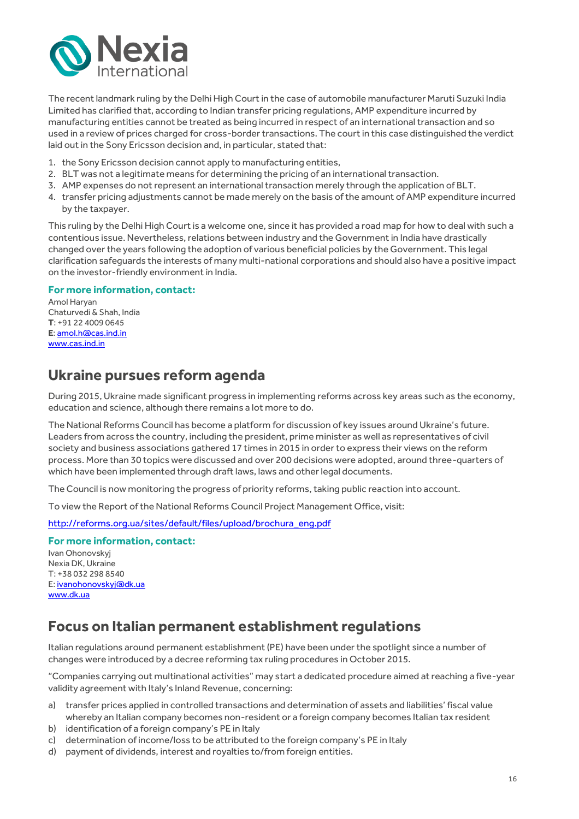

The recent landmark ruling by the Delhi High Court in the case of automobile manufacturer Maruti Suzuki India Limited has clarified that, according to Indian transfer pricing regulations, AMP expenditure incurred by manufacturing entities cannot be treated as being incurred in respect of an international transaction and so used in a review of prices charged for cross-border transactions. The court in this case distinguished the verdict laid out in the Sony Ericsson decision and, in particular, stated that:

- 1. the Sony Ericsson decision cannot apply to manufacturing entities,
- 2. BLT was not a legitimate means for determining the pricing of an international transaction.
- 3. AMP expenses do not represent an international transaction merely through the application of BLT.
- 4. transfer pricing adjustments cannot be made merely on the basis of the amount of AMP expenditure incurred by the taxpayer.

This ruling by the Delhi High Court is a welcome one, since it has provided a road map for how to deal with such a contentious issue. Nevertheless, relations between industry and the Government in India have drastically changed over the years following the adoption of various beneficial policies by the Government. This legal clarification safeguards the interests of many multi-national corporations and should also have a positive impact on the investor-friendly environment in India.

#### **For more information, contact:**

Amol Haryan Chaturvedi & Shah, India **T**: +91 22 4009 0645 **E**[: amol.h@cas.ind.in](mailto:amol.h@cas.ind.in) [www.cas.ind.in](http://www.cas.ind.in/)

### <span id="page-15-0"></span>**Ukraine pursues reform agenda**

During 2015, Ukraine made significant progress in implementing reforms across key areas such as the economy, education and science, although there remains a lot more to do.

The National Reforms Council has become a platform for discussion of key issues around Ukraine's future. Leaders from across the country, including the president, prime minister as well as representatives of civil society and business associations gathered 17 times in 2015 in order to express their views on the reform process. More than 30 topics were discussed and over 200 decisions were adopted, around three-quarters of which have been implemented through draft laws, laws and other legal documents.

The Council is now monitoring the progress of priority reforms, taking public reaction into account.

To view the Report of the National Reforms Council Project Management Office, visit:

[http://reforms.org.ua/sites/default/files/upload/brochura\\_eng.pdf](http://reforms.org.ua/sites/default/files/upload/brochura_eng.pdf)

#### **For more information, contact:**

Ivan Ohonovskyj Nexia DK, Ukraine T: +38 032 298 8540 E[: ivanohonovskyj@dk.ua](mailto:ivanohonovskyj@dk.ua) [www.dk.ua](http://www.dk.ua/)

### **Focus on Italian permanent establishment regulations**

Italian regulations around permanent establishment (PE) have been under the spotlight since a number of changes were introduced by a decree reforming tax ruling procedures in October 2015.

"Companies carrying out multinational activities" may start a dedicated procedure aimed at reaching a five-year validity agreement with Italy's Inland Revenue, concerning:

- a) transfer prices applied in controlled transactions and determination of assets and liabilities' fiscal value whereby an Italian company becomes non-resident or a foreign company becomes Italian tax resident
- b) identification of a foreign company's PE in Italy
- c) determination of income/loss to be attributed to the foreign company's PE in Italy
- d) payment of dividends, interest and royalties to/from foreign entities.